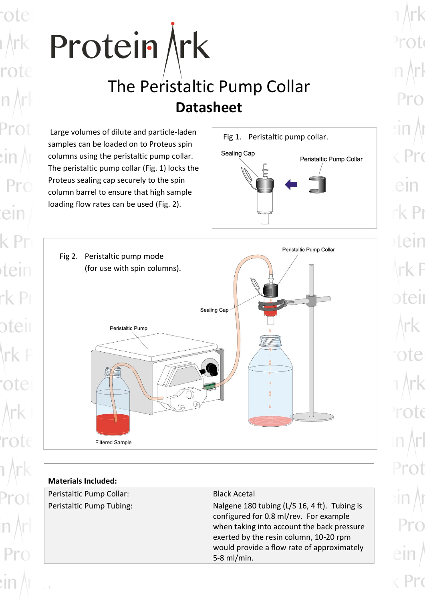



## **Materials Included:**

rot

 $Pr<sub>0</sub>$ 

ein

tein

oteir

Peristaltic Pump Collar: Black Acetal

Peristaltic Pump Tubing: Nalgene 180 tubing (L/S 16, 4 ft). Tubing is configured for 0.8 ml/rev. For example when taking into account the back pressure exerted by the resin column, 10-20 rpm would provide a flow rate of approximately 5-8 ml/min.

 $e$ m  $k$  Pr ein eil ote